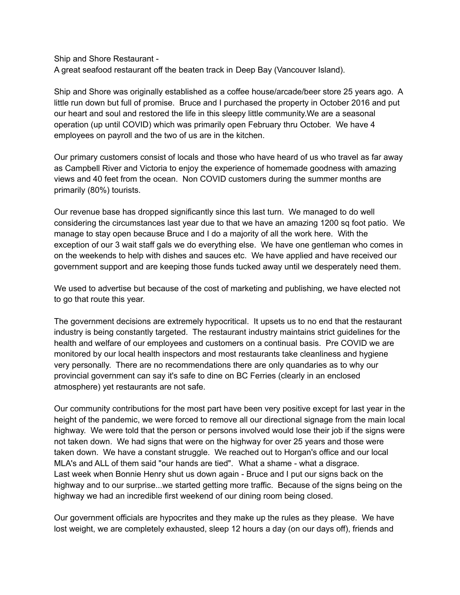Ship and Shore Restaurant - A great seafood restaurant off the beaten track in Deep Bay (Vancouver Island).

Ship and Shore was originally established as a coffee house/arcade/beer store 25 years ago. A little run down but full of promise. Bruce and I purchased the property in October 2016 and put our heart and soul and restored the life in this sleepy little community.We are a seasonal operation (up until COVID) which was primarily open February thru October. We have 4 employees on payroll and the two of us are in the kitchen.

Our primary customers consist of locals and those who have heard of us who travel as far away as Campbell River and Victoria to enjoy the experience of homemade goodness with amazing views and 40 feet from the ocean. Non COVID customers during the summer months are primarily (80%) tourists.

Our revenue base has dropped significantly since this last turn. We managed to do well considering the circumstances last year due to that we have an amazing 1200 sq foot patio. We manage to stay open because Bruce and I do a majority of all the work here. With the exception of our 3 wait staff gals we do everything else. We have one gentleman who comes in on the weekends to help with dishes and sauces etc. We have applied and have received our government support and are keeping those funds tucked away until we desperately need them.

We used to advertise but because of the cost of marketing and publishing, we have elected not to go that route this year.

The government decisions are extremely hypocritical. It upsets us to no end that the restaurant industry is being constantly targeted. The restaurant industry maintains strict guidelines for the health and welfare of our employees and customers on a continual basis. Pre COVID we are monitored by our local health inspectors and most restaurants take cleanliness and hygiene very personally. There are no recommendations there are only quandaries as to why our provincial government can say it's safe to dine on BC Ferries (clearly in an enclosed atmosphere) yet restaurants are not safe.

Our community contributions for the most part have been very positive except for last year in the height of the pandemic, we were forced to remove all our directional signage from the main local highway. We were told that the person or persons involved would lose their job if the signs were not taken down. We had signs that were on the highway for over 25 years and those were taken down. We have a constant struggle. We reached out to Horgan's office and our local MLA's and ALL of them said "our hands are tied". What a shame - what a disgrace. Last week when Bonnie Henry shut us down again - Bruce and I put our signs back on the highway and to our surprise...we started getting more traffic. Because of the signs being on the highway we had an incredible first weekend of our dining room being closed.

Our government officials are hypocrites and they make up the rules as they please. We have lost weight, we are completely exhausted, sleep 12 hours a day (on our days off), friends and